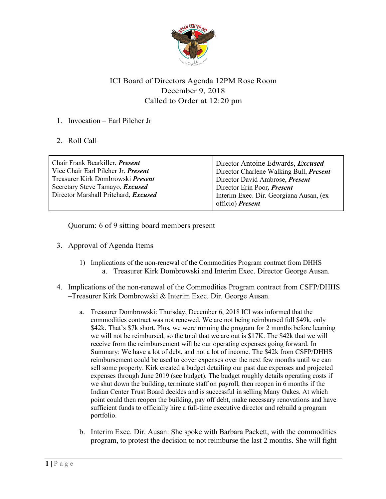

## ICI Board of Directors Agenda 12PM Rose Room December 9, 2018 Called to Order at 12:20 pm

## 1. Invocation – Earl Pilcher Jr

2. Roll Call

| Chair Frank Bearkiller, <i>Present</i>   | Director Antoine Edwards, <i>Excused</i>       |
|------------------------------------------|------------------------------------------------|
| Vice Chair Earl Pilcher Jr. Present      | Director Charlene Walking Bull, <i>Present</i> |
| Treasurer Kirk Dombrowski <i>Present</i> | Director David Ambrose, Present                |
| Secretary Steve Tamayo, <i>Excused</i>   | Director Erin Poor, Present                    |
| Director Marshall Pritchard, Excused     | Interim Exec. Dir. Georgiana Ausan, (ex-       |
|                                          | officio) Present                               |
|                                          |                                                |

Quorum: 6 of 9 sitting board members present

- 3. Approval of Agenda Items
	- 1) Implications of the non-renewal of the Commodities Program contract from DHHS a. Treasurer Kirk Dombrowski and Interim Exec. Director George Ausan.
- 4. Implications of the non-renewal of the Commodities Program contract from CSFP/DHHS –Treasurer Kirk Dombrowski & Interim Exec. Dir. George Ausan.
	- a. Treasurer Dombrowski: Thursday, December 6, 2018 ICI was informed that the commodities contract was not renewed. We are not being reimbursed full \$49k, only \$42k. That's \$7k short. Plus, we were running the program for 2 months before learning we will not be reimbursed, so the total that we are out is \$17K. The \$42k that we will receive from the reimbursement will be our operating expenses going forward. In Summary: We have a lot of debt, and not a lot of income. The \$42k from CSFP/DHHS reimbursement could be used to cover expenses over the next few months until we can sell some property. Kirk created a budget detailing our past due expenses and projected expenses through June 2019 (see budget). The budget roughly details operating costs if we shut down the building, terminate staff on payroll, then reopen in 6 months if the Indian Center Trust Board decides and is successful in selling Many Oakes. At which point could then reopen the building, pay off debt, make necessary renovations and have sufficient funds to officially hire a full-time executive director and rebuild a program portfolio.
	- b. Interim Exec. Dir. Ausan: She spoke with Barbara Packett, with the commodities program, to protest the decision to not reimburse the last 2 months. She will fight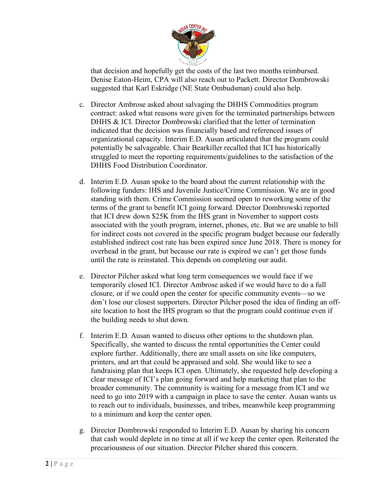

that decision and hopefully get the costs of the last two months reimbursed. Denise Eaton-Heim, CPA will also reach out to Packett. Director Dombrowski suggested that Karl Eskridge (NE State Ombudsman) could also help.

- c. Director Ambrose asked about salvaging the DHHS Commodities program contract: asked what reasons were given for the terminated partnerships between DHHS & ICI. Director Dombrowski clarified that the letter of termination indicated that the decision was financially based and referenced issues of organizational capacity. Interim E.D. Ausan articulated that the program could potentially be salvageable. Chair Bearkiller recalled that ICI has historically struggled to meet the reporting requirements/guidelines to the satisfaction of the DHHS Food Distribution Coordinator.
- d. Interim E.D. Ausan spoke to the board about the current relationship with the following funders: IHS and Juvenile Justice/Crime Commission. We are in good standing with them. Crime Commission seemed open to reworking some of the terms of the grant to benefit ICI going forward. Director Dombrowski reported that ICI drew down \$25K from the IHS grant in November to support costs associated with the youth program, internet, phones, etc. But we are unable to bill for indirect costs not covered in the specific program budget because our federally established indirect cost rate has been expired since June 2018. There is money for overhead in the grant, but because our rate is expired we can't get those funds until the rate is reinstated. This depends on completing our audit.
- e. Director Pilcher asked what long term consequences we would face if we temporarily closed ICI. Director Ambrose asked if we would have to do a full closure, or if we could open the center for specific community events—so we don't lose our closest supporters. Director Pilcher posed the idea of finding an offsite location to host the IHS program so that the program could continue even if the building needs to shut down.
- f. Interim E.D. Ausan wanted to discuss other options to the shutdown plan. Specifically, she wanted to discuss the rental opportunities the Center could explore further. Additionally, there are small assets on site like computers, printers, and art that could be appraised and sold. She would like to see a fundraising plan that keeps ICI open. Ultimately, she requested help developing a clear message of ICI's plan going forward and help marketing that plan to the broader community. The community is waiting for a message from ICI and we need to go into 2019 with a campaign in place to save the center. Ausan wants us to reach out to individuals, businesses, and tribes, meanwhile keep programming to a minimum and keep the center open.
- g. Director Dombrowski responded to Interim E.D. Ausan by sharing his concern that cash would deplete in no time at all if we keep the center open. Reiterated the precariousness of our situation. Director Pilcher shared this concern.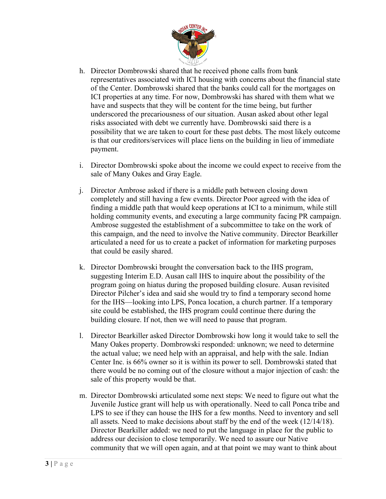

- h. Director Dombrowski shared that he received phone calls from bank representatives associated with ICI housing with concerns about the financial state of the Center. Dombrowski shared that the banks could call for the mortgages on ICI properties at any time. For now, Dombrowski has shared with them what we have and suspects that they will be content for the time being, but further underscored the precariousness of our situation. Ausan asked about other legal risks associated with debt we currently have. Dombrowski said there is a possibility that we are taken to court for these past debts. The most likely outcome is that our creditors/services will place liens on the building in lieu of immediate payment.
- i. Director Dombrowski spoke about the income we could expect to receive from the sale of Many Oakes and Gray Eagle.
- j. Director Ambrose asked if there is a middle path between closing down completely and still having a few events. Director Poor agreed with the idea of finding a middle path that would keep operations at ICI to a minimum, while still holding community events, and executing a large community facing PR campaign. Ambrose suggested the establishment of a subcommittee to take on the work of this campaign, and the need to involve the Native community. Director Bearkiller articulated a need for us to create a packet of information for marketing purposes that could be easily shared.
- k. Director Dombrowski brought the conversation back to the IHS program, suggesting Interim E.D. Ausan call IHS to inquire about the possibility of the program going on hiatus during the proposed building closure. Ausan revisited Director Pilcher's idea and said she would try to find a temporary second home for the IHS—looking into LPS, Ponca location, a church partner. If a temporary site could be established, the IHS program could continue there during the building closure. If not, then we will need to pause that program.
- l. Director Bearkiller asked Director Dombrowski how long it would take to sell the Many Oakes property. Dombrowski responded: unknown; we need to determine the actual value; we need help with an appraisal, and help with the sale. Indian Center Inc. is 66% owner so it is within its power to sell. Dombrowski stated that there would be no coming out of the closure without a major injection of cash: the sale of this property would be that.
- m. Director Dombrowski articulated some next steps: We need to figure out what the Juvenile Justice grant will help us with operationally. Need to call Ponca tribe and LPS to see if they can house the IHS for a few months. Need to inventory and sell all assets. Need to make decisions about staff by the end of the week (12/14/18). Director Bearkiller added: we need to put the language in place for the public to address our decision to close temporarily. We need to assure our Native community that we will open again, and at that point we may want to think about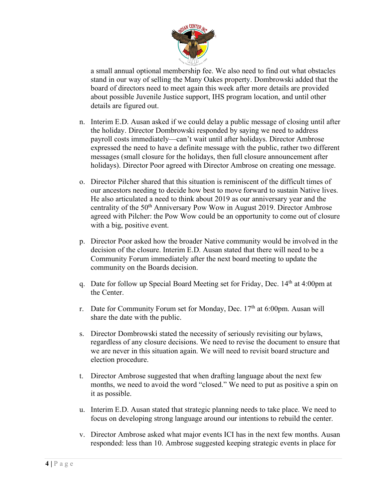

a small annual optional membership fee. We also need to find out what obstacles stand in our way of selling the Many Oakes property. Dombrowski added that the board of directors need to meet again this week after more details are provided about possible Juvenile Justice support, IHS program location, and until other details are figured out.

- n. Interim E.D. Ausan asked if we could delay a public message of closing until after the holiday. Director Dombrowski responded by saying we need to address payroll costs immediately—can't wait until after holidays. Director Ambrose expressed the need to have a definite message with the public, rather two different messages (small closure for the holidays, then full closure announcement after holidays). Director Poor agreed with Director Ambrose on creating one message.
- o. Director Pilcher shared that this situation is reminiscent of the difficult times of our ancestors needing to decide how best to move forward to sustain Native lives. He also articulated a need to think about 2019 as our anniversary year and the centrality of the 50<sup>th</sup> Anniversary Pow Wow in August 2019. Director Ambrose agreed with Pilcher: the Pow Wow could be an opportunity to come out of closure with a big, positive event.
- p. Director Poor asked how the broader Native community would be involved in the decision of the closure. Interim E.D. Ausan stated that there will need to be a Community Forum immediately after the next board meeting to update the community on the Boards decision.
- q. Date for follow up Special Board Meeting set for Friday, Dec. 14th at 4:00pm at the Center.
- r. Date for Community Forum set for Monday, Dec. 17<sup>th</sup> at 6:00pm. Ausan will share the date with the public.
- s. Director Dombrowski stated the necessity of seriously revisiting our bylaws, regardless of any closure decisions. We need to revise the document to ensure that we are never in this situation again. We will need to revisit board structure and election procedure.
- t. Director Ambrose suggested that when drafting language about the next few months, we need to avoid the word "closed." We need to put as positive a spin on it as possible.
- u. Interim E.D. Ausan stated that strategic planning needs to take place. We need to focus on developing strong language around our intentions to rebuild the center.
- v. Director Ambrose asked what major events ICI has in the next few months. Ausan responded: less than 10. Ambrose suggested keeping strategic events in place for